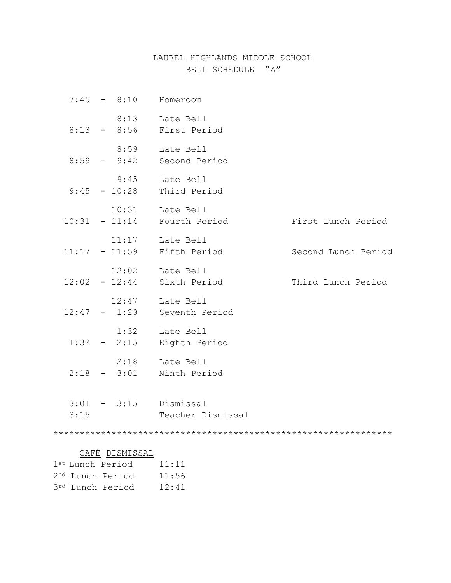### LAUREL HIGHLANDS MIDDLE SCHOOL BELL SCHEDULE "A"

| $7:45 - 8:10$                       | Homeroom          |                     |
|-------------------------------------|-------------------|---------------------|
| 8:13 - 8:56 First Period            | 8:13 Late Bell    |                     |
| 8:59<br>$8:59 - 9:42$ Second Period | Late Bell         |                     |
| 9:45<br>$9:45 - 10:28$ Third Period | Late Bell         |                     |
| $10:31 - 11:14$ Fourth Period       | 10:31 Late Bell   | First Lunch Period  |
| $11:17 - 11:59$ Fifth Period        | 11:17 Late Bell   | Second Lunch Period |
| $12:02 - 12:44$ Sixth Period        | 12:02 Late Bell   | Third Lunch Period  |
| $12:47 - 1:29$ Seventh Period       | 12:47 Late Bell   |                     |
| 1:32<br>$1:32 - 2:15$ Eighth Period | Late Bell         |                     |
| $2:18 - 3:01$ Ninth Period          | 2:18 Late Bell    |                     |
| $3:01 - 3:15$ Dismissal<br>3:15     | Teacher Dismissal |                     |
|                                     |                   |                     |
| DISMISSAL<br>CAFÉ                   |                   |                     |
| 1st Lunch Period                    | 11:11             |                     |
| 2 <sup>nd</sup> Lunch Period        | 11:56             |                     |
| 3rd Lunch Period                    | 12:41             |                     |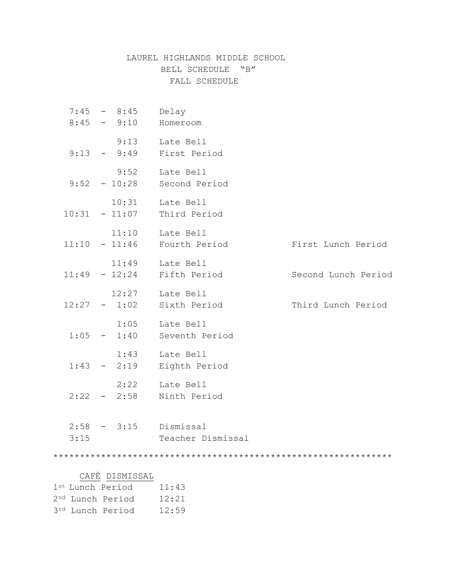# LAUREL HIGHLANDS MIDDLE SCHOOL BELL SCHEDULE "B" FALL SCHEDULE

|                              | $7:45 - 8:45$   | Delay                          |                     |
|------------------------------|-----------------|--------------------------------|---------------------|
|                              | $8:45 - 9:10$   | Homeroom                       |                     |
|                              | 9:13            | Late Bell                      |                     |
|                              |                 | $9:13 - 9:49$ First Period     |                     |
|                              | 9:52            | Late Bell                      |                     |
|                              |                 | $9:52 - 10:28$ Second Period   |                     |
|                              | 10:31           | Late Bell                      |                     |
|                              | $10:31 - 11:07$ | Third Period                   |                     |
|                              | 11:10           | Late Bell                      |                     |
|                              |                 | $11:10 - 11:46$ Fourth Period  | First Lunch Period  |
|                              |                 | 11:49 Late Bell                |                     |
|                              |                 | $11:49$ - $12:24$ Fifth Period | Second Lunch Period |
|                              |                 | 12:27 Late Bell                |                     |
|                              |                 | $12:27 - 1:02$ Sixth Period    | Third Lunch Period  |
|                              | 1:05            | Late Bell                      |                     |
|                              |                 | $1:05 - 1:40$ Seventh Period   |                     |
|                              | 1:43            | Late Bell                      |                     |
|                              | $1:43 - 2:19$   | Eighth Period                  |                     |
|                              | 2:22            | Late Bell                      |                     |
|                              | $2:22 - 2:58$   | Ninth Period                   |                     |
|                              |                 |                                |                     |
|                              | $2:58 - 3:15$   | Dismissal                      |                     |
|                              | 3:15            | Teacher Dismissal              |                     |
|                              |                 |                                |                     |
|                              | CAFÉ DISMISSAL  |                                |                     |
| 1st Lunch Period             |                 | 11:43                          |                     |
| 2 <sup>nd</sup> Lunch Period |                 | 12:21                          |                     |
| 3rd Lunch Period             |                 | 12:59                          |                     |
|                              |                 |                                |                     |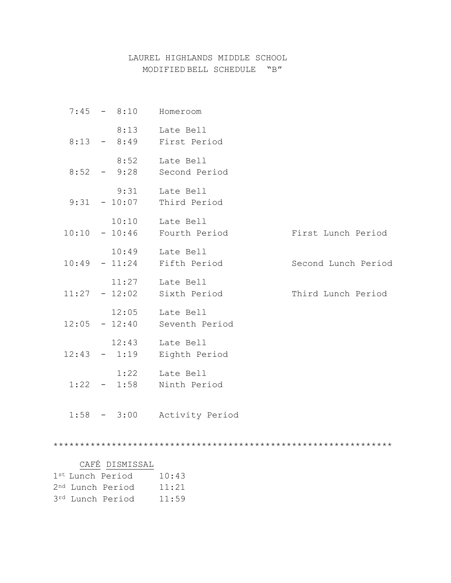#### LAUREL HIGHLANDS MIDDLE SCHOOL MODIFIED BELL SCHEDULE "B"

|  | $7:45 - 8:10$ Homeroom                            |                     |
|--|---------------------------------------------------|---------------------|
|  | 8:13 Late Bell<br>8:13 - 8:49 First Period        |                     |
|  | 8:52 Late Bell<br>$8:52 - 9:28$ Second Period     |                     |
|  | 9:31 Late Bell<br>$9:31 - 10:07$ Third Period     |                     |
|  | 10:10 Late Bell<br>$10:10 - 10:46$ Fourth Period  | First Lunch Period  |
|  | 10:49 Late Bell<br>$10:49$ - $11:24$ Fifth Period | Second Lunch Period |
|  | 11:27 Late Bell<br>$11:27 - 12:02$ Sixth Period   | Third Lunch Period  |
|  | 12:05 Late Bell<br>$12:05 - 12:40$ Seventh Period |                     |
|  | 12:43 Late Bell<br>$12:43 - 1:19$ Eighth Period   |                     |
|  | 1:22 Late Bell<br>$1:22 - 1:58$ Ninth Period      |                     |
|  | 1:58 - 3:00 Activity Period                       |                     |

# CAFÉ DISMISSAL

|  | 1st Lunch Period             | 10:43 |
|--|------------------------------|-------|
|  | 2 <sup>nd</sup> Lunch Period | 11:21 |
|  | 3rd Lunch Period             | 11:59 |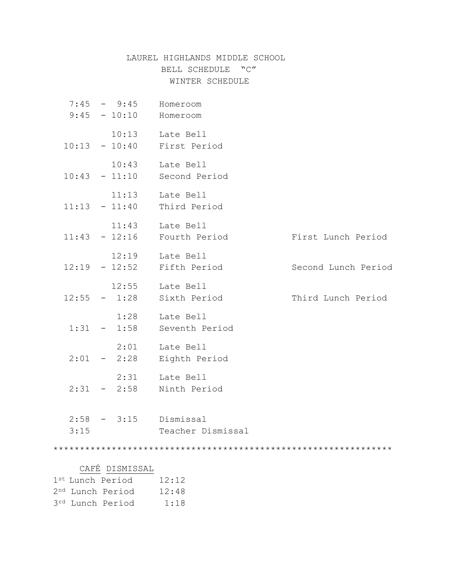# LAUREL HIGHLANDS MIDDLE SCHOOL BELL SCHEDULE "C" WINTER SCHEDULE

|                              | $7:45 - 9:45$           | Homeroom                      |                     |
|------------------------------|-------------------------|-------------------------------|---------------------|
|                              | $9:45 - 10:10$ Homeroom |                               |                     |
|                              |                         |                               |                     |
|                              |                         | 10:13 Late Bell               |                     |
|                              |                         | $10:13 - 10:40$ First Period  |                     |
|                              | 10:43                   | Late Bell                     |                     |
|                              |                         | $10:43 - 11:10$ Second Period |                     |
|                              |                         |                               |                     |
|                              | 11:13                   | Late Bell                     |                     |
|                              |                         | $11:13 - 11:40$ Third Period  |                     |
|                              |                         | 11:43 Late Bell               |                     |
|                              |                         | $11:43 - 12:16$ Fourth Period | First Lunch Period  |
|                              |                         |                               |                     |
|                              |                         | 12:19 Late Bell               |                     |
|                              |                         | $12:19 - 12:52$ Fifth Period  | Second Lunch Period |
|                              |                         |                               |                     |
|                              |                         | 12:55 Late Bell               |                     |
|                              |                         | $12:55 - 1:28$ Sixth Period   | Third Lunch Period  |
|                              |                         | 1:28 Late Bell                |                     |
|                              |                         | $1:31 - 1:58$ Seventh Period  |                     |
|                              |                         |                               |                     |
|                              | 2:01                    | Late Bell                     |                     |
|                              | $2:01 - 2:28$           | Eighth Period                 |                     |
|                              |                         |                               |                     |
|                              | 2:31                    | Late Bell                     |                     |
|                              |                         | $2:31 - 2:58$ Ninth Period    |                     |
|                              |                         |                               |                     |
|                              |                         | $2:58$ - $3:15$ Dismissal     |                     |
|                              | 3:15                    | Teacher Dismissal             |                     |
|                              |                         |                               |                     |
|                              |                         |                               |                     |
|                              |                         |                               |                     |
|                              | CAFÉ DISMISSAL          |                               |                     |
| 1st Lunch Period             |                         | 12:12                         |                     |
| 2 <sup>nd</sup> Lunch Period |                         | 12:48                         |                     |
| 3rd Lunch Period             |                         | 1:18                          |                     |